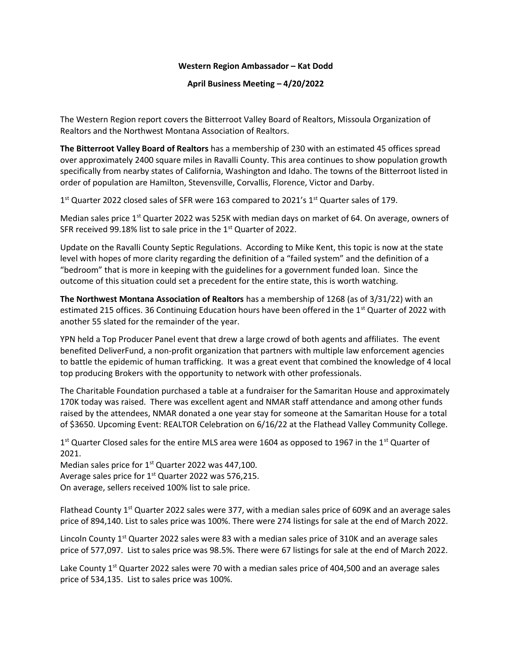## Western Region Ambassador – Kat Dodd

## April Business Meeting – 4/20/2022

The Western Region report covers the Bitterroot Valley Board of Realtors, Missoula Organization of Realtors and the Northwest Montana Association of Realtors.

The Bitterroot Valley Board of Realtors has a membership of 230 with an estimated 45 offices spread over approximately 2400 square miles in Ravalli County. This area continues to show population growth specifically from nearby states of California, Washington and Idaho. The towns of the Bitterroot listed in order of population are Hamilton, Stevensville, Corvallis, Florence, Victor and Darby.

1<sup>st</sup> Quarter 2022 closed sales of SFR were 163 compared to 2021's 1<sup>st</sup> Quarter sales of 179.

Median sales price 1<sup>st</sup> Quarter 2022 was 525K with median days on market of 64. On average, owners of SFR received 99.18% list to sale price in the 1<sup>st</sup> Quarter of 2022.

Update on the Ravalli County Septic Regulations. According to Mike Kent, this topic is now at the state level with hopes of more clarity regarding the definition of a "failed system" and the definition of a "bedroom" that is more in keeping with the guidelines for a government funded loan. Since the outcome of this situation could set a precedent for the entire state, this is worth watching.

The Northwest Montana Association of Realtors has a membership of 1268 (as of 3/31/22) with an estimated 215 offices. 36 Continuing Education hours have been offered in the 1<sup>st</sup> Quarter of 2022 with another 55 slated for the remainder of the year.

YPN held a Top Producer Panel event that drew a large crowd of both agents and affiliates. The event benefited DeliverFund, a non-profit organization that partners with multiple law enforcement agencies to battle the epidemic of human trafficking. It was a great event that combined the knowledge of 4 local top producing Brokers with the opportunity to network with other professionals.

The Charitable Foundation purchased a table at a fundraiser for the Samaritan House and approximately 170K today was raised. There was excellent agent and NMAR staff attendance and among other funds raised by the attendees, NMAR donated a one year stay for someone at the Samaritan House for a total of \$3650. Upcoming Event: REALTOR Celebration on 6/16/22 at the Flathead Valley Community College.

1<sup>st</sup> Quarter Closed sales for the entire MLS area were 1604 as opposed to 1967 in the 1<sup>st</sup> Quarter of 2021.

Median sales price for 1<sup>st</sup> Quarter 2022 was 447,100. Average sales price for  $1<sup>st</sup>$  Quarter 2022 was 576,215. On average, sellers received 100% list to sale price.

Flathead County 1<sup>st</sup> Quarter 2022 sales were 377, with a median sales price of 609K and an average sales price of 894,140. List to sales price was 100%. There were 274 listings for sale at the end of March 2022.

Lincoln County 1<sup>st</sup> Quarter 2022 sales were 83 with a median sales price of 310K and an average sales price of 577,097. List to sales price was 98.5%. There were 67 listings for sale at the end of March 2022.

Lake County 1<sup>st</sup> Quarter 2022 sales were 70 with a median sales price of 404,500 and an average sales price of 534,135. List to sales price was 100%.